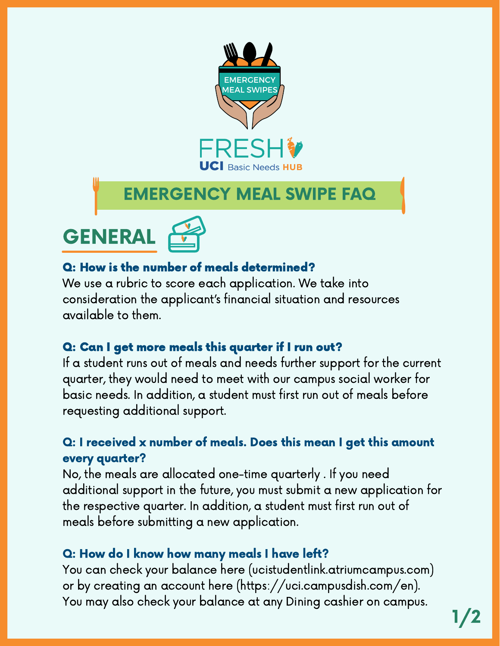

# EMERGENCY MEAL SWIPE FAQ



# Q: How is the number of meals determined?

We use a rubric to score each application. We take into consideration the applicant's financial situation and resources available to them.

# Q: Can I get more meals this quarter if I run out?

If a student runs out of meals and needs further support for the current quarter, they would need to meet with our campus social worker for basic needs. In addition, a student must first run out of meals before requesting additional support.

# Q: I received x number of meals. Does this mean I get this amount every quarter?

No, the meals are allocated one-time quarterly . If you need additional support in the future, you must submit a new application for the respective quarter. In addition, a student must first run out of meals before submitting a new application.

# Q: How do I know how many meals I have left?

You can check your balance here [\(ucistudentlink.atriumcampus.com\)](http://ucistudentlink.atriumcampus.com/) or by creating an account here [\(https://uci.campusdish.com/en\)](https://uci.campusdish.com/en). You may also check your balance at any Dining cashier on campus.